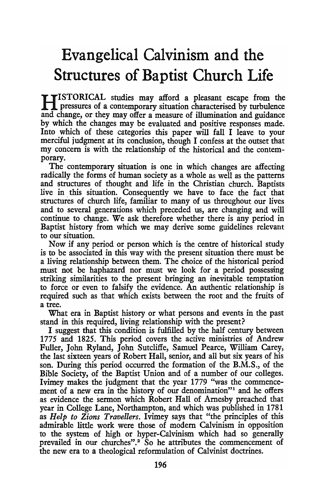## Evangelical Calvinism and the Structures of Baptist Church Life

**HISTORICAL** studies may afford a pleasant escape from the pressures of a contemporary situation characterised by turbulence and change, or they may offer a measure of illumination and guidance by which the changes may be evaluated and positive responses made. Into which of these categories this paper will fall I leave to your merciful judgment at its conclusion, though I confess at the outset that my concern is with the relationship of the historical and the contemporary.

The contemporary situation is one in which changes are affecting radically the forms of human society as a whole as well as the patterns and structures of thought and life in the Christian church. Baptists live in. this situation. Consequently we have to face the fact that structures of church life, familiar to many of us throughout our lives and to several generations which preceded us, are changing and will continue to change. We ask therefore whether there is any period in Baptist history from which we may derive some guidelines relevant to our situation.

Now if any period or person which is the centre of historical study is to be associated in this way with the present situation there must be a living relationship between them. The choice of the historical period must not be haphazard nor must we look for a period possessing striking similarities to the present bringing an inevitable temptation to force or even to falsify the evidence. An authentic relationship is required such as that which exists between the root and the fruits of a tree.

What era in Baptist history or what persons and events in the past stand in this required, living relationship with the present?

I suggest that this condition is fulfilled by the half century between 1775 and 1825. This period covers the active ministries of Andrew Fuller, John Ryland, John Sutcliffe, Samuel Pearce, William Carey, the last sixteen years of Robert Hall, senior, and all but six years of his son. During this period occurred the formation of the B.M.S., of the Bible Society, of the Baptist Union and of a number of our colleges. Ivimey makes the judgment that the year 1779 "was the commencement of a new era in the history of our denomination"<sup>1</sup> and he offers as evidence the sermon which Robert Hall of Arnesby preached that year in College Lane, Northampton, and which was published in 1781 as *Help to Zions Travellers.* Ivimey says that "the principles of this admirable little work were those of modern Calvinism in opposition to the system of high or hyper-Calvinism which had so generally prevailed in our churches".2 So he attributes the commencement of the new era to a theological reformulation of Calvinist doctrines.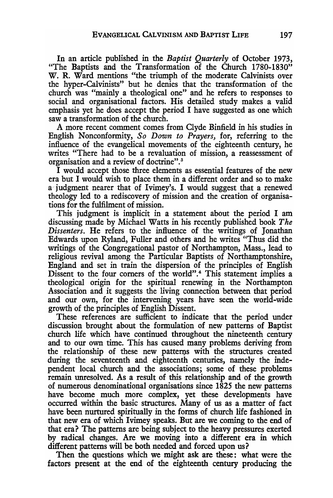In an article published in the *Baptist Quarterly* of October 1973, "The Baptists and the Transformation of the Church 1780-1830" W. R. Ward mentions "the triumph of the moderate Calvinists over the hyper-Calvinists" but he denies that the transformation of the church was "mainly a theological one" and he refers to responses to social and organisational factors. His detailed study makes a valid emphasis yet he does accept the period I have suggested as one which saw a transformation of the church.

A more recent comment comes from Clyde Binfield in his studies in English Nonconformity, *So Down to Prayers,* for, referring to the influence of the evangelical movements of the eighteenth century, he writes "There had to be a revaluation of mission, a reassessment of organisation and a review of doctrine".3

I would accept those three elements as essential features of the new era but I would wish to place them in a different order and so to make a judgment nearer that of Ivimey's. I would suggest that a renewed theology led to a rediscovery of mission and the creation of organisations for the fulfilment of mission.

This judgment is implicit in a statement about the period I am discussing made by Michael Watts in his recently published book *The Dissenters.* He refers to the influence of the writings of Jonathan Edwards upon Ryland, Fuller and others and he writes "Thus did the writings of the Congregational pastor of Northampton, Mass., lead to religious revival among the Particular Baptists of Northamptonshire, England and set in train the dispersion of the principles of English Dissent to the four corners of the world".<sup>4</sup> This statement implies a theological origin for the spiritual renewing in the Northampton Association and it suggests the living connection between that period and our own, for the intervening years have seen the world-wide growth of the principles of English Dissent.

These references are sufficient to indicate that the period under discussion brought about the formulation of new patterns of Baptist church life which have continued throughout the nineteenth century and to our own time. This has caused many problems deriving from the relationship of these new patterns with the structures created during the seventeenth and eighteenth centuries, namely the independent local church and the associations; some of these problems remain unresolved. As a result of this relationship and of the growth of numerous denominational organisations since 1825 the new patterns have become much more complex, yet these developments have occurred within the basic structures. Many of us as a matter of fact have been nurtured spiritually in the forms of church life fashioned in that new era of which I vimey speaks. But are we coming to the end of that era? The patterns are being subject to the heavy pressures exerted by radical changes. Are we moving into a different era in which different patterns will be both needed and forced upon us?

Then the questions which we might ask are these: what were the factors present at the end of the eighteenth century producing the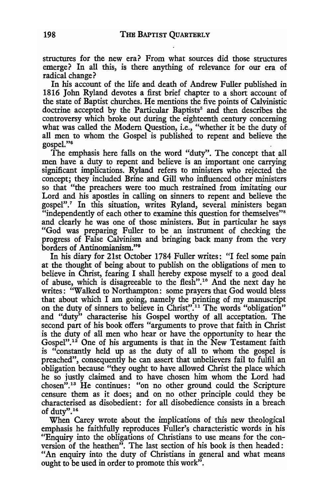structures for the new era? From what sources did those structures emerge? In all this, is there anything of relevance for our era of radical change?

In his account of the life and death of Andrew Fuller published in 1816 John Ryland devotes a first brief chapter to a short account of the state of Baptist churches. He mentions the five points of Calvinistic doctrine accepted by the Particular Baptists<sup>5</sup> and then describes the controversy which broke out during the eighteenth century concerning what was called the Modern Question, i.e., "whether it be the duty of all men to whom the Gospel is published to repent and believe the gospel."6

The emphasis here falls on the word "duty". The concept that all men have a duty to repent and believe is an important one carrying significant implications. Ryland refers to ministers who rejected the concept; they included Brine and Gill who influenced other ministers so that "the preachers were too much restrained from imitating our Lord and his apostles in calling on sinners to repent and believe the gospel"/ In this situation, writes Ryland, several ministers began "independently of each other to examine this question for themselves"<sup>8</sup> and clearly he was one of those ministers. But in particular he says "God was preparing Fuller to be an instrument of checking the progress of False Calvinism and bringing back many from the very borders of Antinomianism."9

In his diary for 21st October 1784 Fuller writes: "I feel some pain at the thought of being about to publish on the obligations of men to believe in Christ, fearing I shall hereby expose myself to a good deal of abuse, which is disagreeable to the flesh". 10 And the next day he writes: "Walked to Northampton: some prayers that God would bless that about which I am going, namely the printing of my manuscript on the duty of sinners to believe in Christ<sup>y</sup>.<sup>11</sup> The words "obligation" and "duty" characterise his Gospel worthy of all acceptation. The second part of his book offers "arguments to prove that faith in Christ is the duty of all men who hear or have the opportunity to hear the Gospel".<sup>12</sup> One of his arguments is that in the New Testament faith is "constantly held up as the duty of all to whom the gospel is preached", consequently he can assert that unbelievers fail to fulfil an obligation because "they ought to have allowed Christ the place which he so justly claimed and to have chosen him whom the Lord had chosen".13 He continues: "on no other ground could the Scripture censure them as it does; and on no other principle could they be characterised as disobedient: for all disobedience consists in a breach of duty". 14

When Carey wrote about the implications of this new theological emphasis he faithfully reproduces Fuller's characteristic words in his "Enquiry into the obligations of Christians to use means for the conversion of the heathen". The last section of his book is then headed: "An enquiry into the duty of Christians in general and what means ought to be used in order to promote this work".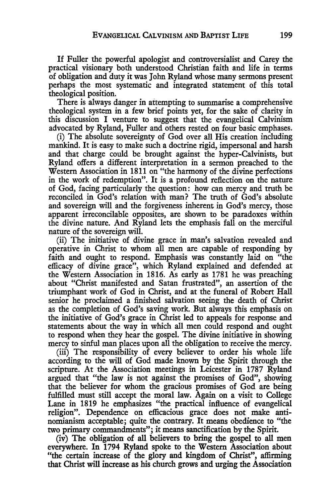If Fuller the powerful apologist and controversialist and Carey the practical visionary both understood Christian faith and life in terms of obligation and duty it was John Ryland whose many sermons present perhaps the most systematic and integrated statement of this total theological position.

There is always danger in attempting to summarise a comprehensive theological system in a few brief points yet, for the sake of clarity in this discussion I venture to suggest that the evangelical Calvinism advocated by Ryland, Fuller and others rested on four basic emphases.

(i) The absolute sovereignty of God over all His creation including mankind. It is easy to make such a doctrine rigid, impersonal and harsh and that charge could be brought against the hyper-Calvinists, but Ryland offers a different interpretation in a sermon preached to the Western Association in 1811 on "the harmony of the divine perfections in the work of redemption". It is a profound reflection on the nature of God, facing particularly the question: how can mercy and truth be reconciled in God's relation with man? The truth of God's absolute and sovereign will and the forgiveness inherent in God's mercy, those apparent irreconcilable opposites, are shown to be paradoxes within the divine nature. And Ryland lets the emphasis fall on the merciful nature of the sovereign will.

(ii) The initiative of divine grace in man's salvation revealed and operative in Christ to whom all men are capable of responding by faith and ought to respond. Emphasis was constantly laid on "the efficacy of divine grace", which Ryland explained and defended at the Western Association in 1816. As early as 1781 he was preaching about "Christ manifested and Satan frustrated", an assertion of the triumphant work of God in Christ, and at the funeral of Robert Hall senior he proclaimed a finished salvation seeing the death of Christ as the completion of God's saving work. But always this emphasis on the initiative of God's grace in Christ led to appeals for response and statements about the way in which all men could respond and ought to respond when they hear the gospel. The divine initiative in showing mercy to sinful man places upon all the obligation to receive the mercy.

(iii) The responsibility of every believer to order his whole life according to the will of God made known by the Spirit through the scripture. At the Association meetings in Leicester in 1787 Ryland argued that "the law is not against the promises of God", showing that the believer for whom the gracious promises of God are being fulfilled must still accept the moral law. Again on a visit to College Lane in 1819 he emphasizes "the practical influence of evangelical religion". Dependence on efficacious grace does not make antinomianism acceptable; quite the contrary. It means obedience to "the two primary commandments"; it means sanctification by the Spirit.

(iv) The obligation of all believers to bring the gospel to all men everywhere. In 1794 Ryland spoke to the Western Association about "the certain increase of the glory and kingdom of Christ", affirming that Christ will increase as his church grows and urging the Association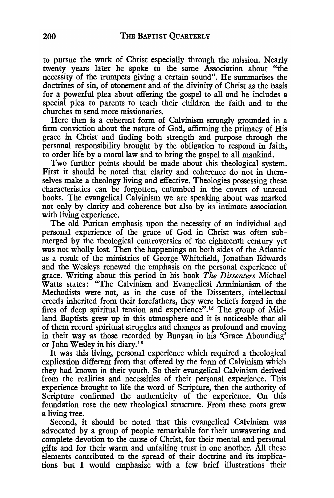to pursue the work of Christ especially through the mission. Nearly twenty years later he spoke to the same Association about "the necessity of the trumpets giving a certain sound". He summarises the doctrines of sin, of atonement and of the divinity of Christ as the basis for a powerful plea about offering the gospel to all and he includes a special plea to parents to teach their children the faith and to the churches to send more missionaries.

Here then is a coherent form of Calvinism strongly grounded in a firm conviction about the nature of God, affirming the primacy of His grace in Christ and finding both strength and purpose through the personal responsibility brought by the obligation to respond in faith, to order life by a moral law and to bring the gospel to all mankind.

Two further points should be made about this theological system. First it should be noted that clarity and coherence do not in themselves make a theology living and effective. Theologies possessing these characteristics can be forgotten, entombed in the covers of unread books. The evangelical Calvinism we are speaking about was marked not only by clarity and coherence but also by its intimate association with living experience.

The old Puritan emphasis upon the necessity of an individual and personal experience of the grace of God in Christ was often submerged by the theological controversies of the eighteenth century yet was not wholly lost. Then the happenings on both sides of the Atlantic as a result of the ministries of George Whitefield, Jonathan Edwards and the Wesleys renewed the emphasis on the personal experience of grace. Writing about this period in his book *The Dissenters* Michael Watts states: "The Calvinism and Evangelical Arminianism of the Methodists were not, as in the case of the Dissenters, intellectual creeds inherited from their forefathers, they were beliefs forged in the fires of deep spiritual tension and experience".15 The group of Midland Baptists grew up in this atmosphere and it is noticeable that all of them record spiritual struggles and changes as profound and moving in their way as those recorded by Bunyan in his 'Grace Abounding' or John Wesley in his diary. 16

It was this living, personal experience which required a theological explication different from that offered by the form of Calvinism which they had known in their youth. So their evangelical Calvinism derived from the realities and necessities of their personal experience. This experience brought to life the word of Scripture, then the authority of Scripture confirmed the authenticity of the experience. On this foundation rose the new theological structure. From these roots grew a living tree.

Second, it should be noted that this evangelical Calvinism was advocated by a group of people remarkable for their unwavering and complete devotion to the cause of Christ, for their mental and personal gifts and for their warm and unfailing trust in one another. All these elements contributed to the spread of their doctrine and its implications but I would emphasize with. a few brief illustrations their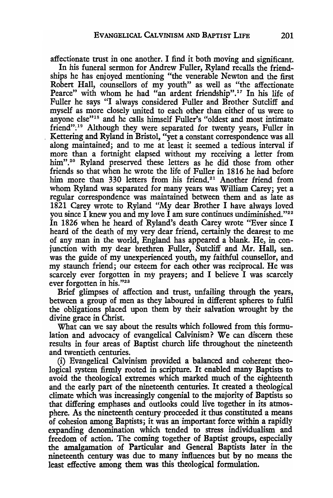affectionate trust in one another. I find it both moving and significant.

In his funeral sermon for Andrew Fuller, Ryland recalls the friendships he has enjoyed mentioning "the venerable Newton and the first Robert Hall, counsellors of my youth" as well as "the affectionate Pearce" with whom he had "an ardent friendship".<sup>17</sup> In his life of Fuller he says "I always considered Fuller and Brother Sutcliff and myself as more closely united to each other than either of us were to anyone else"<sup>18</sup> and he calls himself Fuller's "oldest and most intimate friend":<sup>19</sup> Although they were separated for twenty years, Fuller in Kettering and Ryland in Bristol, "yet a constant correspondence was all along maintained; and to me at least it seemed a tedious interval if more than a fortnight elapsed without my receiving a letter from him".<sup>20</sup> Ryland preserved these letters as he did those from other friends so that when he wrote the life of Fuller in 1816 he had before him more than 330 letters from his friend.<sup>21</sup> Another friend from whom Ryland was separated for many years was William Carey; yet a regular correspondence was maintained between them and as late as 1821 Carey wrote to Ryland "My dear Brother I have always loved you since I knew you and my love I am sure continues undiminished."<sup>22</sup> In 1826 when he heard of Ryland's death Carey wrote "Ever since I heard of the death of my very dear friend, certainly the dearest to me of any man in the world, England has appeared a blank. He, in conjunction with my dear brethren Fuller, Sutcliff and Mr. Hall, sen. was the guide of my unexperienced youth, my faithful counsellor, and my staunch friend; our esteem for each other was reciprocal. He was scarcely ever forgotten in my prayers; and I believe I was scarcely ever forgotten in his."23

Brief glimpses of affection and trust, unfailing through the years, between a group of men as they laboured in different spheres to fulfil the obligations placed upon them by their salvation wrought by the divine grace in Christ.

What can we say about the results which followed from this formulation and advocacy of evangelical Calvinism ? We can discern these results in four areas of Baptist church life throughout the nineteenth and twentieth centuries.

(i) Evangelical Calvinism provided a balanced and coherent theological system firmly rooted in scripture. It enabled many Baptists to avoid the theological extremes which marked much of the eighteenth and the early part of the nineteenth centuries. It created a theological climate which was increasingly congenial to the majority of Baptists so that differing emphases and outlooks could live together in its atmosphere. As the nineteenth century proceeded it thus constituted a means of cohesion among Baptists; it was an important force within a rapidly expanding denomination which tended to stress individualism and freedom of action. The coming together of Baptist groups, especially the amalgamation of Particular and General Baptists later in the nineteenth century was due to many influences but by no means the least effective among them was this theological formulation.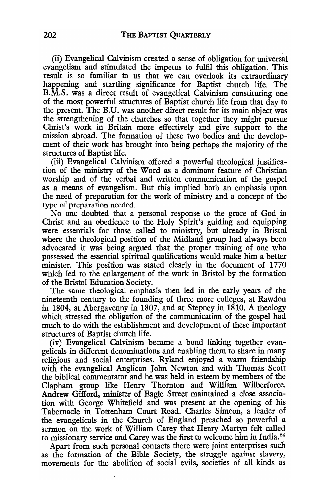(ii) Evangelical Calvinism created a sense of obligation for universal evangelism and stimulated the impetus to fulfil this obligation. This result is so familiar to us that we can overlook its extraordinary happening and startling significance for Baptist church life. The RM.S. was a direct result of evangelical Calvinism constituting one of the most powerful structures of Baptist church life from that day to the present. The RU. was another direct result for its main object was the strengthening of the churches so that together they might pursue Christ's work in Britain more effectively and give support to the mission abroad. The formation of these two bodies and the development of their work has brought into being perhaps the majority of the structures of Baptist life.

(iii) Evangelical Calvinism offered a powerful theological justification of the ministry of the Word as a dominant feature of Christian worship and of the verbal and written communication of the gospel as a means of evangelism. But this implied both an emphasis upon the need of preparation for the work of ministry and a concept of the type of preparation needed.

No one doubted that a personal response to the grace of God in Christ and an obedience to the Holy Spirit's guiding and equipping were essentials for those called to ministry, but already in Bristol where the theological position of the Midland group had always been advocated it was being argued that the proper training of one who possessed the essential spiritual qualifications would make him a better minister. This position was stated clearly in the document of 1770 which led to the enlargement of the work in Bristol by the formation of the Bristol Education Society.

The same theological emphasis then led in the early years of the nineteenth century to the founding of three more colleges, at Rawdon in 1804, at Abergavenny in 1807, and at Stepney in 1810. A theology which stressed the obligation of the communication of the gospel had much to do with the establishment and development of these important structures of Baptist church life.

(iv) Evangelical Calvinism became a bond linking together evangelicals in different denominations and enabling them to share in many religious and social enterprises. Ryland enjoyed a warm friendship with the evangelical Anglican John Newton and with Thomas Scott the biblical commentator and he was held in esteem by members of the Clapham group like Henry Thornton and William Wilberforce. Andrew Gifford, minister of Eagle Street maintained a close association with George Whitefield and was present at the opening of his Tabernacle in Tottenham Court Road. Charles Simeon, a leader of the evangelicals in the Church of England preached so powerful a sermon on the work of William Carey that Henry Martyn felt called to missionary service and Carey was the first to welcome him in India.<sup>24</sup>

Apart from such personal contacts there were joint enterprises such as the formation of the Bible Society, the struggle against slavery, movements for the abolition of social evils, societies of all kinds as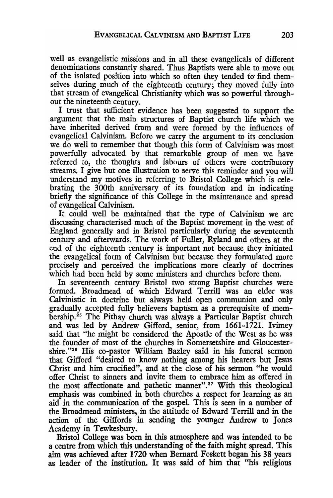well as evangelistic missions and in all these evangelicals of different denominations constantly shared. Thus Baptists were able to move out of the isolated position into which so often they tended to' find themselves during much of the eighteenth century; they moved fully into that stream of evangelical Christianity which was so powerful throughout the nineteenth century.

I trust that sufficient evidence has been suggested to support the argument that the main structures of Baptist church life which we have inherited derived from and were formed by the influences of evangelical Calvinism. Before we carry the argument to its conclusion we do well to remember that though this form of Calvinism was most powerfully advocated by that remarkable group of men we have referred to, the thoughts and labours of others were contributory streams. I give but one illustration to serve this reminder and you will understand my motives in referring to Bristol College which is celebrating the 300th anniversary of its foundation and in indicating briefly the significance of this College in the maintenance and spread of evangelical Calvinism.

It could well be maintained that the type of Calvinism we are discussing characterised much of the Baptist movement in the west of England generally and in Bristol particularly during the seventeenth century and afterwards. The work of Fuller, Ryland and others at the end of the eighteenth century is important not because they initiated the evangelical form of Calvinism but because they formulated more precisely and perceived the implications more clearly of doctrines which had been held by some ministers and churches before them.

In seventeenth century Bristol two strong Baptist churches were formed. Broadmead of which Edward Terrill was an elder was Calvinistic in doctrine but always held open communion and only gradually accepted fully believers baptism as a prerequisite of membership.<sup>25</sup> The Pithay church was always a Particular Baptist church and was led by Andrew Gifford, senior, from 1661-1721. Ivimey said that "he might be considered the Apostle of the West as he was the founder of most of the churches in Somersetshire and Gloucestershire."26 His co-pastor William Bazley said in his funeral sermon that Gifford "desired to know nothing among his hearers but Jesus Christ and him crucified", and at the close of his sermon "he would offer Christ to sinners and invite them to embrace him as offered in the most affectionate and pathetic manner".<sup>27</sup> With this theological emphasis was combined in both churches a respect for learning as an aid in the communication of the gospel. This is seen in a number of the Broadmead ministers, in the attitude of Edward Terrill and in the action of the Giffords in sending the younger Andrew to Jones Academy in Tewkesbury.

Bristol College was born in this atmosphere and was intended to be a centre from which this understanding of the faith might spread. This aim was achieved after 1720 when Bernard Foskett began his 38 years as leader of the institution. It was said of him that "his religious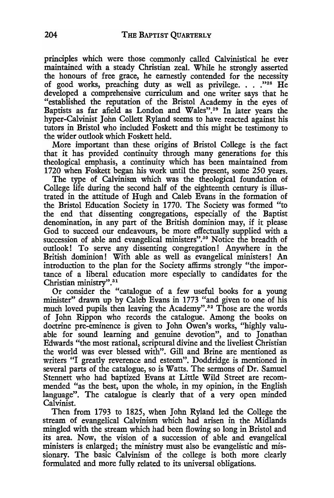principles which were those commonly called Calvinistical he ever maintained with a steady Christian zeal. While he strongly asserted the honours of free grace, he earnestly contended for the necessity of good works, preaching duty as well as privilege. . . . "<sup>28</sup> He of good works, preaching duty as well as privilege.  $\ldots$  ."<sup>28</sup> He developed a comprehensive curriculum and one writer says that he "established the reputation of the Bristol Academy in the eyes of Baptists as far afield as London and Wales".29 In later years the hyper-Calvinist John Collett Ryland seems to have reacted against his tutors in Bristol who included Foskett and this might be testimony to the wider outlook which Foskett held.

More important than these origins of Bristol College is the fact that it has provided continuity through many generations for this theological emphasis, a continuity which has been maintained from 1720 when Foskett began his work until the present, some 250 years.

The type of Calvinism which was the theological foundation of College life during the second half of the eighteenth century is illustrated in the attitude of Hugh and Caleb Evans in the formation of the Bristol Education Society in 1770. The Society was formed "to the end that dissenting congregations, especially of the Baptist denomination, in any part of the British dominion may, if it please God to succeed our endeavours, be more effectually supplied with a succession of able and evangelical ministers".<sup>30</sup> Notice the breadth of outlook! To serve any dissenting congregation! Anywhere in the British dominion! With able as well as evangelical ministers! An introduction to the plan for the Society affirms strongly "the importance of a liberal education more especially to candidates for the Christian ministry".<sup>31</sup>

Or consider the "catalogue of a few useful books for a young minister" drawn up by Caleb Evans in 1773 "and given to one of his much loved pupils then leaving the Academy".<sup>32</sup> Those are the words of John Rippon who records the catalogue. Among the books on doctrine pre-eminence is given to John Owen's works, "highly valuable for sound learning and genuine devotion", and to Jonathan Edwards "the most rational, scriptural divine and the liveliest Christian the world was ever blessed with". Gill and Brine are mentioned as writers "I greatly reverence and esteem". Doddridge is mentioned in several parts of the catalogue, so is Watts. The sermons of Dr. Samuel Stennett who had baptized Evans at Little Wild Street are recommended "as the best, upon the whole, in my opinion, in the English language". The catalogue is dearly that of a very open minded Calvinist.

Then from 1793 to 1825, when John Ryland led the College the stream of evangelical Calvinism which had arisen in the Midlands mingled with the stream which had been flowing so long in Bristol and its area. Now, the vision of a succession of able and evangelical ministers is enlarged; the ministry must also be evangelistic and missionary. The basic Calvinism of the college is both more clearly formulated and more fully related to its universal obligations.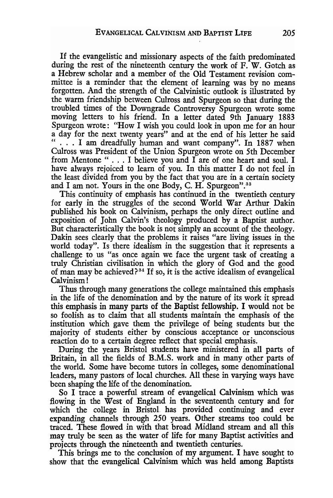If the evangelistic and missionary aspects of the faith predominated during the rest of the nineteenth century the work of F. W. Gotch as a Hebrew scholar and a member of the Old Testament revision committee is a reminder that the element of learning was by no means forgotten. And the strength of the Calvinistic outlook is illustrated by the warm friendship between Culross and Spurgeon so that during the troubled times of the Downgrade Controversy Spurgeon wrote some moving letters to his friend. In a letter dated 9th January 1883 Spurgeon wrote: "How I wish you could look in upon me for an hour a day for the next twenty years" and at the end of his letter he said " ... I am dreadfully human and want company". In 1887 when Culross was President of the Union Spurgeon wrote on 5th December from Mentone " . . . I believe you and I are of one heart and soul. I have always rejoiced to learn of you. In this matter I do not feel in the least divided from you by the fact that you are in a certain society and I am not. Yours in the one Body, C. H. Spurgeon". 33

This continuity of emphasis has continued in the twentieth century for early in the struggles of the second World War Arthur Dakin published his book on Calvinism, perhaps the only direct outline and exposition of John Calvin's theology produced by a Baptist author. But characteristically the book is not simply an account of the theology. Dakin sees clearly that the problems it raises "are living issues in the world today". Is there idealism in the suggestion that it represents a challenge to us "as once again we face the urgent task of creating a truly Christian civilisation in which the glory of God and the good of man may be achieved?<sup>34</sup> If so, it is the active idealism of evangelical Calvinism!

Thus through many generations the college maintained this emphasis in the life of the denomination and by the nature of its work it spread this emphasis in many parts of the Baptist fellowship. I would not be so foolish as to claim that all students maintain the emphasis of the institution which gave them the privilege of being students but the majority of students either by conscious acceptance or unconscious reaction do to a certain degree reflect that special emphasis.

During the years Bristol students have ministered in all parts of Britain, in all the fields of B.M.S. work and in many other parts of the world. Some have become tutors in colleges, some denominational leaders, many pastors of local churches. All these in varying ways have been shaping the life of the denomination.

So I trace a powerful stream of evangelical Calvinism which was flowing in the West of England in the seventeenth century and for which the college in Bristol has provided continuing and ever expanding channels through 250 years. Other streams too could be traced. These flowed in with that broad Midland stream and all this may truly be seen as the water of life for many Baptist activities and projects through the nineteenth and twentieth centuries.

This brings me to the conclusion of my argument. I have sought to show that the evangelical Calvinism which was held among Baptists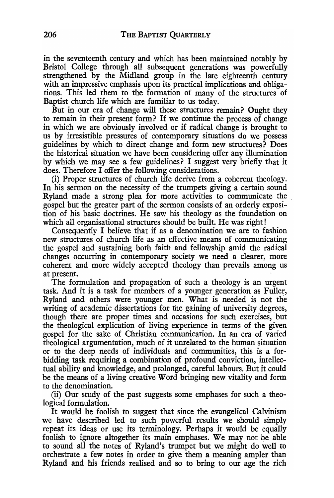in the seventeenth century and which has been maintained notably by Bristol College through all subsequent generations was powerfully strengthened by the Midland group in the late eighteenth century with an impressive emphasis upon its practical implications and obligations. This led them to the formation of many of the structures of Baptist church life which are familiar to us today.

But in our era of change will these structures remain? Ought they to remain in their present form? If we continue the process of change in which we are obviously involved or if radical change is brought to us by irresistible pressures of contemporary situations do we possess guidelines by which to direct change and form new structures? Does the historical situation we have been considering offer any illumination by which we may see a few guidelines? I suggest very briefly that it does. Therefore I offer the following considerations.

(i) Proper structures of church life derive from a coherent theology. In his sermon on the necessity of the trumpets giving a certain sound Ryland made a strong plea for more activities to communicate the . gospel but the greater part of the sermon consists of an orderly exposition of his basic doctrines. He saw his theology as the foundation on which all organisational structures should be built. He was right!

Consequently I believe that if as a denomination we are to fashion new structures of church life as an effective means of communicating the gospel and sustaining both faith and fellowship amid the radical changes occurring in contemporary society we need a clearer, more coherent and more widely accepted theology than prevails among us at present.

The formulation and propagation of such a theology is an urgent task. And it is a task for members of a younger generation as Fuller, Ryland and others were younger men. What is needed is not the writing of academic dissertations for the gaining of university degrees, though there are proper times and occasions for such exercises, but the theological explication of living experience in terms of the given gospel for the sake of Christian communication. In an era of varied theological argumentation, much of it unrelated to the human situation or to the deep needs of individuals and communities, this is a forbidding task requiring a combination of profound conviction, intellectual ability and knowledge, and prolonged, careful labours. But it could be the means of a living creative Word bringing new vitality and form to the denomination.

(ii) Our study of the past suggests some emphases for such a theological formulation.

It would be foolish to suggest that since the evangelical Calvinism we have described led to such powerful results we should simply repeat its ideas or use its terminology. Perhaps it would be equally foolish to ignore altogether its main emphases. We may not be able to sound all the notes of Ryland's trumpet but we might do well to orchestrate a few notes in order to give them a meaning ampler than Ryland and his friends realised and so to bring to our age the rich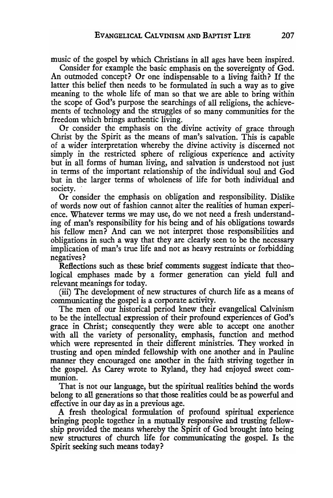music of the gospel by which Christians in all ages have been inspired.

Consider for example the basic emphasis on the sovereignty of God. An outmoded concept? Or one indispensable to a living faith? If the latter this belief then needs to be formulated in such a way as to give meaning to the whole life of man so that we are able to bring within the scope of God's purpose the searchings of all religions, the achievements of technology and the struggles of so many communities for the freedom which brings authentic living.

Or consider the emphasis on the divine activity of grace through Christ by the Spirit as the means of man's salvation. This is capable of a wider interpretation whereby the divine activity is discerned not simply in the restricted sphere of religious experience and activity but in all forms of human living, and salvation is understood not just in terms of the important relationship of the individual soul and God but in the larger terms of wholeness of life for both individual and society.

Or consider the emphasis on obligation and responsibility. Dislike of words now out of fashion cannot alter the realities of human experience. Whatever terms we may use, do we not need a fresh understanding of man's responsibility for his being and of his obligations towards his fellow men? And can we not interpret those responsibilities and obligations in such a way that they are clearly seen to be the necessary implication of man's true life and not as heavy restraints or forbidding negatives?

Reflections such as these brief comments suggest indicate that theological emphases made by a former generation can yield full and relevant meanings for today.

(iii) The development of new structures of church life as a means of communicating the gospel is a corporate activity.

The men of our historical period knew their evangelical Calvinism to be the intellectual expression of their profound experiences of God's grace in Christ; consequently they were able to accept one another with all the variety of personality, emphasis, function and method which were represented in their different ministries. They worked in trusting and open minded fellowship with one another and in Pauline manner they encouraged one another in the faith striving together in the gospel. As Carey wrote to Ryland, they had enjoyed sweet communion.

That is not our language, but the spiritual realities behind the words belong to all generations so that those realities could be as powerful and effective in our day as in a previous age.

A fresh theological formulation of profound spiritual experience bringing people together in a mutually responsive and trusting fellowship provided the means whereby the Spirit of God brought into being new structures of church life for communicating the gospel. Is the Spirit seeking such means today?